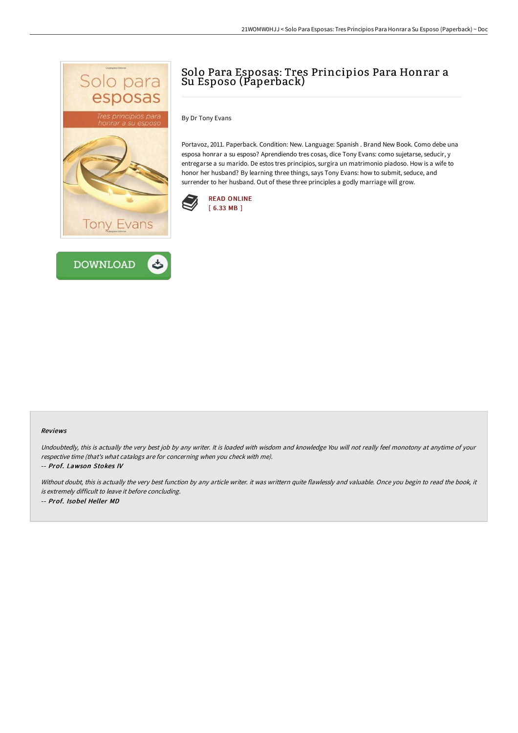



# Solo Para Esposas: Tres Principios Para Honrar a Su Esposo (Paperback)

By Dr Tony Evans

Portavoz, 2011. Paperback. Condition: New. Language: Spanish . Brand New Book. Como debe una esposa honrar a su esposo? Aprendiendo tres cosas, dice Tony Evans: como sujetarse, seducir, y entregarse a su marido. De estos tres principios, surgira un matrimonio piadoso. How is a wife to honor her husband? By learning three things, says Tony Evans: how to submit, seduce, and surrender to her husband. Out of these three principles a godly marriage will grow.



#### Reviews

Undoubtedly, this is actually the very best job by any writer. It is loaded with wisdom and knowledge You will not really feel monotony at anytime of your respective time (that's what catalogs are for concerning when you check with me).

-- Prof. Lawson Stokes IV

Without doubt, this is actually the very best function by any article writer. it was writtern quite flawlessly and valuable. Once you begin to read the book, it is extremely difficult to leave it before concluding. -- Prof. Isobel Heller MD